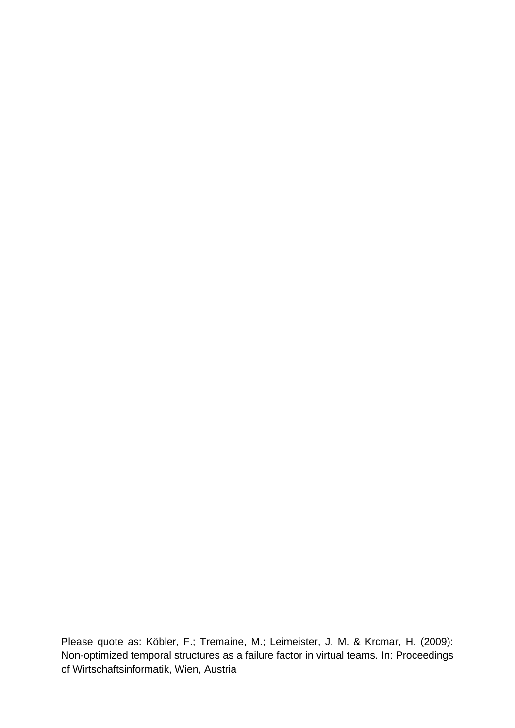Please quote as: Köbler, F.; Tremaine, M.; Leimeister, J. M. & Krcmar, H. (2009): Non-optimized temporal structures as a failure factor in virtual teams. In: Proceedings of Wirtschaftsinformatik, Wien, Austria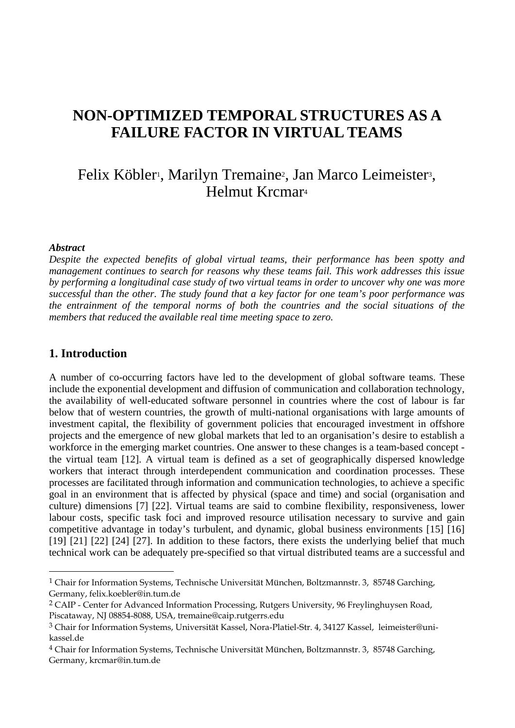# **NON-OPTIMIZED TEMPORAL STRUCTURES AS A FAILURE FACTOR IN VIRTUAL TEAMS**

# Felix Köbler<sup>1</sup>, Marilyn Tremaine<sup>2</sup>, Jan Marco Leimeister<sup>3</sup>, Helmut Krcmar4

#### *Abstract*

*Despite the expected benefits of global virtual teams, their performance has been spotty and management continues to search for reasons why these teams fail. This work addresses this issue by performing a longitudinal case study of two virtual teams in order to uncover why one was more successful than the other. The study found that a key factor for one team's poor performance was the entrainment of the temporal norms of both the countries and the social situations of the members that reduced the available real time meeting space to zero.* 

#### **1. Introduction**

 $\overline{a}$ 

A number of co-occurring factors have led to the development of global software teams. These include the exponential development and diffusion of communication and collaboration technology, the availability of well-educated software personnel in countries where the cost of labour is far below that of western countries, the growth of multi-national organisations with large amounts of investment capital, the flexibility of government policies that encouraged investment in offshore projects and the emergence of new global markets that led to an organisation's desire to establish a workforce in the emerging market countries. One answer to these changes is a team-based concept the virtual team [12]. A virtual team is defined as a set of geographically dispersed knowledge workers that interact through interdependent communication and coordination processes. These processes are facilitated through information and communication technologies, to achieve a specific goal in an environment that is affected by physical (space and time) and social (organisation and culture) dimensions [7] [22]. Virtual teams are said to combine flexibility, responsiveness, lower labour costs, specific task foci and improved resource utilisation necessary to survive and gain competitive advantage in today's turbulent, and dynamic, global business environments [15] [16] [19] [21] [22] [24] [27]. In addition to these factors, there exists the underlying belief that much technical work can be adequately pre-specified so that virtual distributed teams are a successful and

<sup>1</sup> Chair for Information Systems, Technische Universität München, Boltzmannstr. 3, 85748 Garching, Germany, felix.koebler@in.tum.de

<sup>2</sup> CAIP - Center for Advanced Information Processing, Rutgers University, 96 Freylinghuysen Road, Piscataway, NJ 08854-8088, USA, tremaine@caip.rutgerrs.edu

<sup>3</sup> Chair for Information Systems, Universität Kassel, Nora-Platiel-Str. 4, 34127 Kassel, leimeister@unikassel.de

<sup>4</sup> Chair for Information Systems, Technische Universität München, Boltzmannstr. 3, 85748 Garching, Germany, krcmar@in.tum.de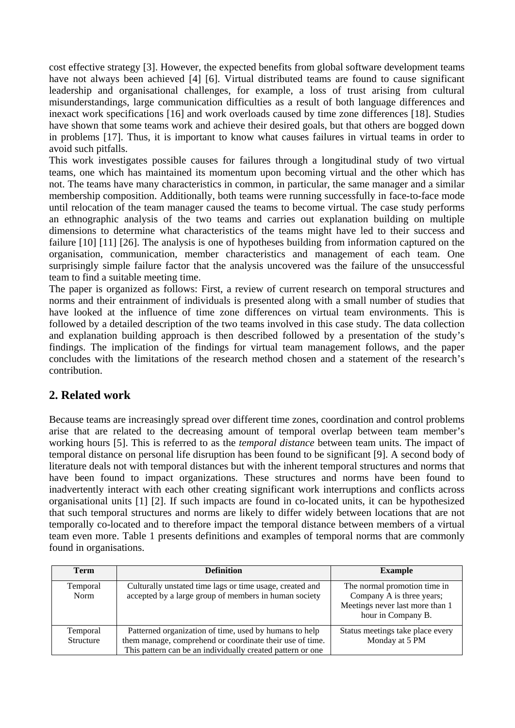cost effective strategy [3]. However, the expected benefits from global software development teams have not always been achieved [4] [6]. Virtual distributed teams are found to cause significant leadership and organisational challenges, for example, a loss of trust arising from cultural misunderstandings, large communication difficulties as a result of both language differences and inexact work specifications [16] and work overloads caused by time zone differences [18]. Studies have shown that some teams work and achieve their desired goals, but that others are bogged down in problems [17]. Thus, it is important to know what causes failures in virtual teams in order to avoid such pitfalls.

This work investigates possible causes for failures through a longitudinal study of two virtual teams, one which has maintained its momentum upon becoming virtual and the other which has not. The teams have many characteristics in common, in particular, the same manager and a similar membership composition. Additionally, both teams were running successfully in face-to-face mode until relocation of the team manager caused the teams to become virtual. The case study performs an ethnographic analysis of the two teams and carries out explanation building on multiple dimensions to determine what characteristics of the teams might have led to their success and failure [10] [11] [26]. The analysis is one of hypotheses building from information captured on the organisation, communication, member characteristics and management of each team. One surprisingly simple failure factor that the analysis uncovered was the failure of the unsuccessful team to find a suitable meeting time.

The paper is organized as follows: First, a review of current research on temporal structures and norms and their entrainment of individuals is presented along with a small number of studies that have looked at the influence of time zone differences on virtual team environments. This is followed by a detailed description of the two teams involved in this case study. The data collection and explanation building approach is then described followed by a presentation of the study's findings. The implication of the findings for virtual team management follows, and the paper concludes with the limitations of the research method chosen and a statement of the research's contribution.

## **2. Related work**

Because teams are increasingly spread over different time zones, coordination and control problems arise that are related to the decreasing amount of temporal overlap between team member's working hours [5]. This is referred to as the *temporal distance* between team units. The impact of temporal distance on personal life disruption has been found to be significant [9]. A second body of literature deals not with temporal distances but with the inherent temporal structures and norms that have been found to impact organizations. These structures and norms have been found to inadvertently interact with each other creating significant work interruptions and conflicts across organisational units [1] [2]. If such impacts are found in co-located units, it can be hypothesized that such temporal structures and norms are likely to differ widely between locations that are not temporally co-located and to therefore impact the temporal distance between members of a virtual team even more. Table 1 presents definitions and examples of temporal norms that are commonly found in organisations.

| Term             | <b>Definition</b>                                                                                                 | <b>Example</b>                                                                                                     |
|------------------|-------------------------------------------------------------------------------------------------------------------|--------------------------------------------------------------------------------------------------------------------|
| Temporal<br>Norm | Culturally unstated time lags or time usage, created and<br>accepted by a large group of members in human society | The normal promotion time in<br>Company A is three years;<br>Meetings never last more than 1<br>hour in Company B. |
| Temporal         | Patterned organization of time, used by humans to help                                                            | Status meetings take place every                                                                                   |
| Structure        | them manage, comprehend or coordinate their use of time.                                                          | Monday at 5 PM                                                                                                     |
|                  | This pattern can be an individually created pattern or one                                                        |                                                                                                                    |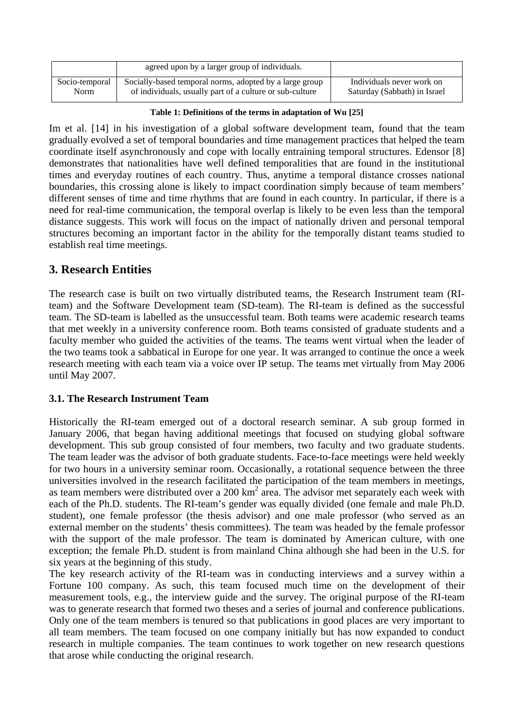|                | agreed upon by a larger group of individuals.            |                              |
|----------------|----------------------------------------------------------|------------------------------|
| Socio-temporal | Socially-based temporal norms, adopted by a large group  | Individuals never work on    |
| Norm           | of individuals, usually part of a culture or sub-culture | Saturday (Sabbath) in Israel |

**Table 1: Definitions of the terms in adaptation of Wu [25]** 

Im et al. [14] in his investigation of a global software development team, found that the team gradually evolved a set of temporal boundaries and time management practices that helped the team coordinate itself asynchronously and cope with locally entraining temporal structures. Edensor [8] demonstrates that nationalities have well defined temporalities that are found in the institutional times and everyday routines of each country. Thus, anytime a temporal distance crosses national boundaries, this crossing alone is likely to impact coordination simply because of team members' different senses of time and time rhythms that are found in each country. In particular, if there is a need for real-time communication, the temporal overlap is likely to be even less than the temporal distance suggests. This work will focus on the impact of nationally driven and personal temporal structures becoming an important factor in the ability for the temporally distant teams studied to establish real time meetings.

## **3. Research Entities**

The research case is built on two virtually distributed teams, the Research Instrument team (RIteam) and the Software Development team (SD-team). The RI-team is defined as the successful team. The SD-team is labelled as the unsuccessful team. Both teams were academic research teams that met weekly in a university conference room. Both teams consisted of graduate students and a faculty member who guided the activities of the teams. The teams went virtual when the leader of the two teams took a sabbatical in Europe for one year. It was arranged to continue the once a week research meeting with each team via a voice over IP setup. The teams met virtually from May 2006 until May 2007.

## **3.1. The Research Instrument Team**

Historically the RI-team emerged out of a doctoral research seminar. A sub group formed in January 2006, that began having additional meetings that focused on studying global software development. This sub group consisted of four members, two faculty and two graduate students. The team leader was the advisor of both graduate students. Face-to-face meetings were held weekly for two hours in a university seminar room. Occasionally, a rotational sequence between the three universities involved in the research facilitated the participation of the team members in meetings, as team members were distributed over a 200  $km^2$  area. The advisor met separately each week with each of the Ph.D. students. The RI-team's gender was equally divided (one female and male Ph.D. student), one female professor (the thesis advisor) and one male professor (who served as an external member on the students' thesis committees). The team was headed by the female professor with the support of the male professor. The team is dominated by American culture, with one exception; the female Ph.D. student is from mainland China although she had been in the U.S. for six years at the beginning of this study.

The key research activity of the RI-team was in conducting interviews and a survey within a Fortune 100 company. As such, this team focused much time on the development of their measurement tools, e.g., the interview guide and the survey. The original purpose of the RI-team was to generate research that formed two theses and a series of journal and conference publications. Only one of the team members is tenured so that publications in good places are very important to all team members. The team focused on one company initially but has now expanded to conduct research in multiple companies. The team continues to work together on new research questions that arose while conducting the original research.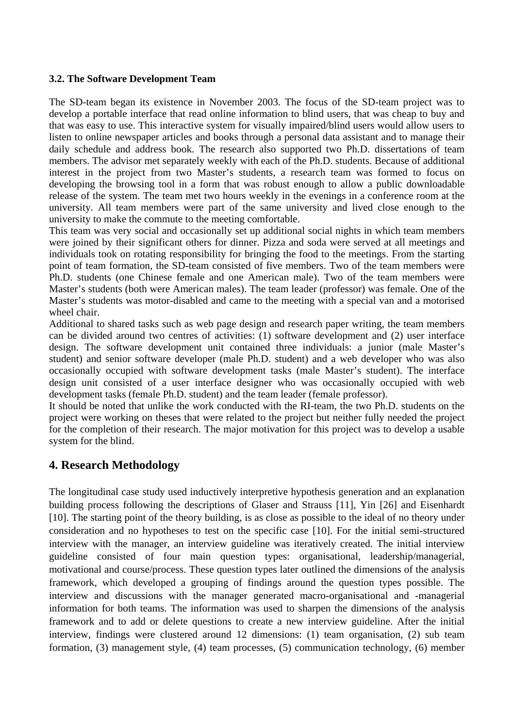### **3.2. The Software Development Team**

The SD-team began its existence in November 2003. The focus of the SD-team project was to develop a portable interface that read online information to blind users, that was cheap to buy and that was easy to use. This interactive system for visually impaired/blind users would allow users to listen to online newspaper articles and books through a personal data assistant and to manage their daily schedule and address book. The research also supported two Ph.D. dissertations of team members. The advisor met separately weekly with each of the Ph.D. students. Because of additional interest in the project from two Master's students, a research team was formed to focus on developing the browsing tool in a form that was robust enough to allow a public downloadable release of the system. The team met two hours weekly in the evenings in a conference room at the university. All team members were part of the same university and lived close enough to the university to make the commute to the meeting comfortable.

This team was very social and occasionally set up additional social nights in which team members were joined by their significant others for dinner. Pizza and soda were served at all meetings and individuals took on rotating responsibility for bringing the food to the meetings. From the starting point of team formation, the SD-team consisted of five members. Two of the team members were Ph.D. students (one Chinese female and one American male). Two of the team members were Master's students (both were American males). The team leader (professor) was female. One of the Master's students was motor-disabled and came to the meeting with a special van and a motorised wheel chair.

Additional to shared tasks such as web page design and research paper writing, the team members can be divided around two centres of activities: (1) software development and (2) user interface design. The software development unit contained three individuals: a junior (male Master's student) and senior software developer (male Ph.D. student) and a web developer who was also occasionally occupied with software development tasks (male Master's student). The interface design unit consisted of a user interface designer who was occasionally occupied with web development tasks (female Ph.D. student) and the team leader (female professor).

It should be noted that unlike the work conducted with the RI-team, the two Ph.D. students on the project were working on theses that were related to the project but neither fully needed the project for the completion of their research. The major motivation for this project was to develop a usable system for the blind.

## **4. Research Methodology**

The longitudinal case study used inductively interpretive hypothesis generation and an explanation building process following the descriptions of Glaser and Strauss [11], Yin [26] and Eisenhardt [10]. The starting point of the theory building, is as close as possible to the ideal of no theory under consideration and no hypotheses to test on the specific case [10]. For the initial semi-structured interview with the manager, an interview guideline was iteratively created. The initial interview guideline consisted of four main question types: organisational, leadership/managerial, motivational and course/process. These question types later outlined the dimensions of the analysis framework, which developed a grouping of findings around the question types possible. The interview and discussions with the manager generated macro-organisational and -managerial information for both teams. The information was used to sharpen the dimensions of the analysis framework and to add or delete questions to create a new interview guideline. After the initial interview, findings were clustered around 12 dimensions: (1) team organisation, (2) sub team formation, (3) management style, (4) team processes, (5) communication technology, (6) member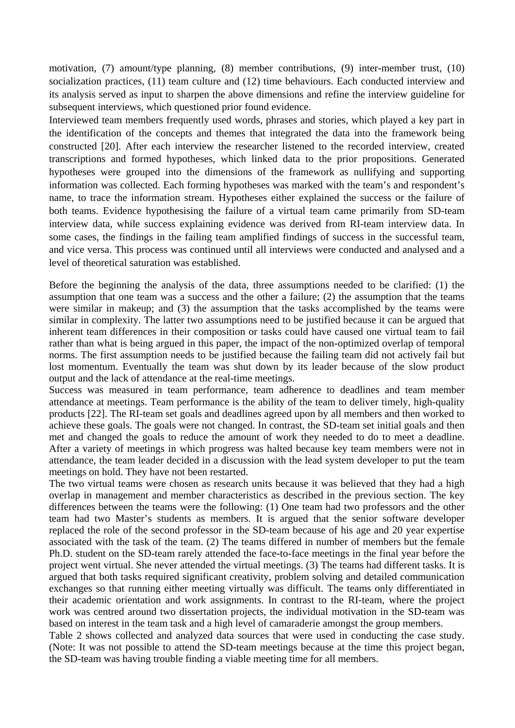motivation, (7) amount/type planning, (8) member contributions, (9) inter-member trust, (10) socialization practices, (11) team culture and (12) time behaviours. Each conducted interview and its analysis served as input to sharpen the above dimensions and refine the interview guideline for subsequent interviews, which questioned prior found evidence.

Interviewed team members frequently used words, phrases and stories, which played a key part in the identification of the concepts and themes that integrated the data into the framework being constructed [20]. After each interview the researcher listened to the recorded interview, created transcriptions and formed hypotheses, which linked data to the prior propositions. Generated hypotheses were grouped into the dimensions of the framework as nullifying and supporting information was collected. Each forming hypotheses was marked with the team's and respondent's name, to trace the information stream. Hypotheses either explained the success or the failure of both teams. Evidence hypothesising the failure of a virtual team came primarily from SD-team interview data, while success explaining evidence was derived from RI-team interview data. In some cases, the findings in the failing team amplified findings of success in the successful team, and vice versa. This process was continued until all interviews were conducted and analysed and a level of theoretical saturation was established.

Before the beginning the analysis of the data, three assumptions needed to be clarified: (1) the assumption that one team was a success and the other a failure; (2) the assumption that the teams were similar in makeup; and (3) the assumption that the tasks accomplished by the teams were similar in complexity. The latter two assumptions need to be justified because it can be argued that inherent team differences in their composition or tasks could have caused one virtual team to fail rather than what is being argued in this paper, the impact of the non-optimized overlap of temporal norms. The first assumption needs to be justified because the failing team did not actively fail but lost momentum. Eventually the team was shut down by its leader because of the slow product output and the lack of attendance at the real-time meetings.

Success was measured in team performance, team adherence to deadlines and team member attendance at meetings. Team performance is the ability of the team to deliver timely, high-quality products [22]. The RI-team set goals and deadlines agreed upon by all members and then worked to achieve these goals. The goals were not changed. In contrast, the SD-team set initial goals and then met and changed the goals to reduce the amount of work they needed to do to meet a deadline. After a variety of meetings in which progress was halted because key team members were not in attendance, the team leader decided in a discussion with the lead system developer to put the team meetings on hold. They have not been restarted.

The two virtual teams were chosen as research units because it was believed that they had a high overlap in management and member characteristics as described in the previous section. The key differences between the teams were the following: (1) One team had two professors and the other team had two Master's students as members. It is argued that the senior software developer replaced the role of the second professor in the SD-team because of his age and 20 year expertise associated with the task of the team. (2) The teams differed in number of members but the female Ph.D. student on the SD-team rarely attended the face-to-face meetings in the final year before the project went virtual. She never attended the virtual meetings. (3) The teams had different tasks. It is argued that both tasks required significant creativity, problem solving and detailed communication exchanges so that running either meeting virtually was difficult. The teams only differentiated in their academic orientation and work assignments. In contrast to the RI-team, where the project work was centred around two dissertation projects, the individual motivation in the SD-team was based on interest in the team task and a high level of camaraderie amongst the group members.

Table 2 shows collected and analyzed data sources that were used in conducting the case study. (Note: It was not possible to attend the SD-team meetings because at the time this project began, the SD-team was having trouble finding a viable meeting time for all members.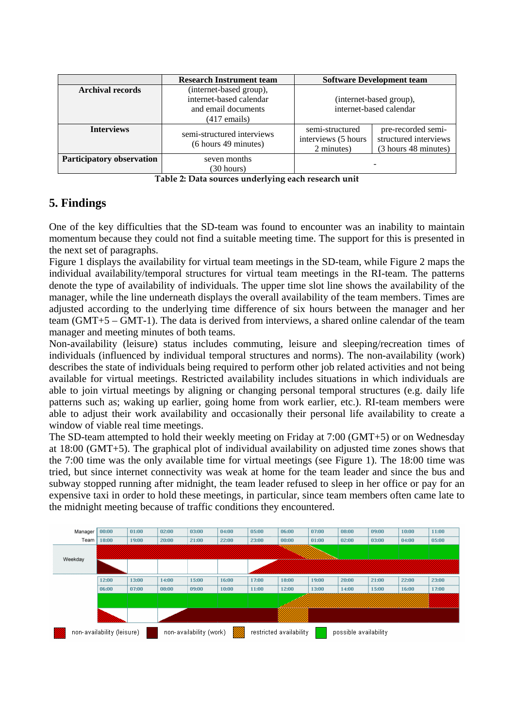|                                  | <b>Research Instrument team</b>                                                                     |                                                      | <b>Software Development team</b>                                    |
|----------------------------------|-----------------------------------------------------------------------------------------------------|------------------------------------------------------|---------------------------------------------------------------------|
| <b>Archival records</b>          | (internet-based group),<br>internet-based calendar<br>and email documents<br>$(417 \text{ emails})$ |                                                      | (internet-based group),<br>internet-based calendar                  |
| <b>Interviews</b>                | semi-structured interviews<br>(6 hours 49 minutes)                                                  | semi-structured<br>interviews (5 hours<br>2 minutes) | pre-recorded semi-<br>structured interviews<br>(3 hours 48 minutes) |
| <b>Participatory observation</b> | seven months<br>(30 hours)                                                                          |                                                      |                                                                     |

**Table 2: Data sources underlying each research unit** 

## **5. Findings**

One of the key difficulties that the SD-team was found to encounter was an inability to maintain momentum because they could not find a suitable meeting time. The support for this is presented in the next set of paragraphs.

Figure 1 displays the availability for virtual team meetings in the SD-team, while Figure 2 maps the individual availability/temporal structures for virtual team meetings in the RI-team. The patterns denote the type of availability of individuals. The upper time slot line shows the availability of the manager, while the line underneath displays the overall availability of the team members. Times are adjusted according to the underlying time difference of six hours between the manager and her team (GMT+5 – GMT-1). The data is derived from interviews, a shared online calendar of the team manager and meeting minutes of both teams.

Non-availability (leisure) status includes commuting, leisure and sleeping/recreation times of individuals (influenced by individual temporal structures and norms). The non-availability (work) describes the state of individuals being required to perform other job related activities and not being available for virtual meetings. Restricted availability includes situations in which individuals are able to join virtual meetings by aligning or changing personal temporal structures (e.g. daily life patterns such as; waking up earlier, going home from work earlier, etc.). RI-team members were able to adjust their work availability and occasionally their personal life availability to create a window of viable real time meetings.

The SD-team attempted to hold their weekly meeting on Friday at 7:00 (GMT+5) or on Wednesday at 18:00 (GMT+5). The graphical plot of individual availability on adjusted time zones shows that the 7:00 time was the only available time for virtual meetings (see Figure 1). The 18:00 time was tried, but since internet connectivity was weak at home for the team leader and since the bus and subway stopped running after midnight, the team leader refused to sleep in her office or pay for an expensive taxi in order to hold these meetings, in particular, since team members often came late to the midnight meeting because of traffic conditions they encountered.

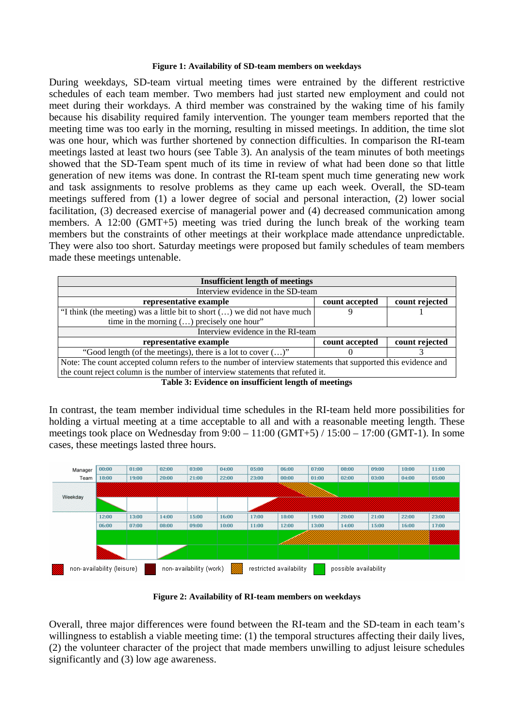#### **Figure 1: Availability of SD-team members on weekdays**

During weekdays, SD-team virtual meeting times were entrained by the different restrictive schedules of each team member. Two members had just started new employment and could not meet during their workdays. A third member was constrained by the waking time of his family because his disability required family intervention. The younger team members reported that the meeting time was too early in the morning, resulting in missed meetings. In addition, the time slot was one hour, which was further shortened by connection difficulties. In comparison the RI-team meetings lasted at least two hours (see Table 3). An analysis of the team minutes of both meetings showed that the SD-Team spent much of its time in review of what had been done so that little generation of new items was done. In contrast the RI-team spent much time generating new work and task assignments to resolve problems as they came up each week. Overall, the SD-team meetings suffered from (1) a lower degree of social and personal interaction, (2) lower social facilitation, (3) decreased exercise of managerial power and (4) decreased communication among members. A 12:00 (GMT+5) meeting was tried during the lunch break of the working team members but the constraints of other meetings at their workplace made attendance unpredictable. They were also too short. Saturday meetings were proposed but family schedules of team members made these meetings untenable.

| <b>Insufficient length of meetings</b>                                                                        |                |                                                                                |  |  |
|---------------------------------------------------------------------------------------------------------------|----------------|--------------------------------------------------------------------------------|--|--|
| Interview evidence in the SD-team                                                                             |                |                                                                                |  |  |
| representative example                                                                                        | count accepted | count rejected                                                                 |  |  |
| "I think (the meeting) was a little bit to short $()$ we did not have much                                    | Q              |                                                                                |  |  |
| time in the morning $()$ precisely one hour"                                                                  |                |                                                                                |  |  |
| Interview evidence in the RI-team                                                                             |                |                                                                                |  |  |
| representative example                                                                                        | count accepted | count rejected                                                                 |  |  |
| "Good length (of the meetings), there is a lot to cover ()"                                                   |                |                                                                                |  |  |
| Note: The count accepted column refers to the number of interview statements that supported this evidence and |                |                                                                                |  |  |
|                                                                                                               |                | the count reject column is the number of interview statements that refuted it. |  |  |
|                                                                                                               |                |                                                                                |  |  |

**Table 3: Evidence on insufficient length of meetings** 

In contrast, the team member individual time schedules in the RI-team held more possibilities for holding a virtual meeting at a time acceptable to all and with a reasonable meeting length. These meetings took place on Wednesday from  $9:00 - 11:00$  (GMT+5) /  $15:00 - 17:00$  (GMT-1). In some cases, these meetings lasted three hours.



**Figure 2: Availability of RI-team members on weekdays** 

Overall, three major differences were found between the RI-team and the SD-team in each team's willingness to establish a viable meeting time: (1) the temporal structures affecting their daily lives, (2) the volunteer character of the project that made members unwilling to adjust leisure schedules significantly and (3) low age awareness.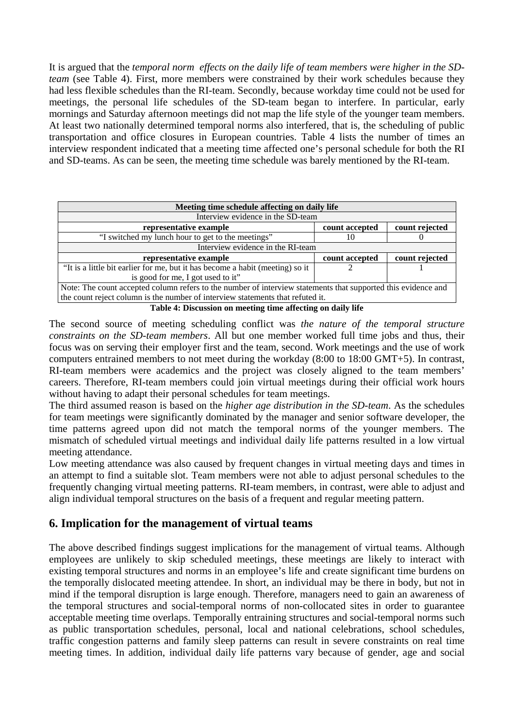It is argued that the *temporal norm effects on the daily life of team members were higher in the SDteam* (see Table 4). First, more members were constrained by their work schedules because they had less flexible schedules than the RI-team. Secondly, because workday time could not be used for meetings, the personal life schedules of the SD-team began to interfere. In particular, early mornings and Saturday afternoon meetings did not map the life style of the younger team members. At least two nationally determined temporal norms also interfered, that is, the scheduling of public transportation and office closures in European countries. Table 4 lists the number of times an interview respondent indicated that a meeting time affected one's personal schedule for both the RI and SD-teams. As can be seen, the meeting time schedule was barely mentioned by the RI-team.

| Meeting time schedule affecting on daily life                                                                 |                |                |  |
|---------------------------------------------------------------------------------------------------------------|----------------|----------------|--|
| Interview evidence in the SD-team                                                                             |                |                |  |
| representative example                                                                                        | count accepted | count rejected |  |
| "I switched my lunch hour to get to the meetings"                                                             | 10             |                |  |
| Interview evidence in the RI-team                                                                             |                |                |  |
|                                                                                                               |                |                |  |
| representative example                                                                                        | count accepted | count rejected |  |
| "It is a little bit earlier for me, but it has become a habit (meeting) so it                                 |                |                |  |
| is good for me, I got used to it"                                                                             |                |                |  |
| Note: The count accepted column refers to the number of interview statements that supported this evidence and |                |                |  |

**Table 4: Discussion on meeting time affecting on daily life** 

The second source of meeting scheduling conflict was *the nature of the temporal structure constraints on the SD-team members*. All but one member worked full time jobs and thus, their focus was on serving their employer first and the team, second. Work meetings and the use of work computers entrained members to not meet during the workday (8:00 to 18:00 GMT+5). In contrast, RI-team members were academics and the project was closely aligned to the team members' careers. Therefore, RI-team members could join virtual meetings during their official work hours without having to adapt their personal schedules for team meetings.

The third assumed reason is based on the *higher age distribution in the SD-team*. As the schedules for team meetings were significantly dominated by the manager and senior software developer, the time patterns agreed upon did not match the temporal norms of the younger members. The mismatch of scheduled virtual meetings and individual daily life patterns resulted in a low virtual meeting attendance.

Low meeting attendance was also caused by frequent changes in virtual meeting days and times in an attempt to find a suitable slot. Team members were not able to adjust personal schedules to the frequently changing virtual meeting patterns. RI-team members, in contrast, were able to adjust and align individual temporal structures on the basis of a frequent and regular meeting pattern.

## **6. Implication for the management of virtual teams**

The above described findings suggest implications for the management of virtual teams. Although employees are unlikely to skip scheduled meetings, these meetings are likely to interact with existing temporal structures and norms in an employee's life and create significant time burdens on the temporally dislocated meeting attendee. In short, an individual may be there in body, but not in mind if the temporal disruption is large enough. Therefore, managers need to gain an awareness of the temporal structures and social-temporal norms of non-collocated sites in order to guarantee acceptable meeting time overlaps. Temporally entraining structures and social-temporal norms such as public transportation schedules, personal, local and national celebrations, school schedules, traffic congestion patterns and family sleep patterns can result in severe constraints on real time meeting times. In addition, individual daily life patterns vary because of gender, age and social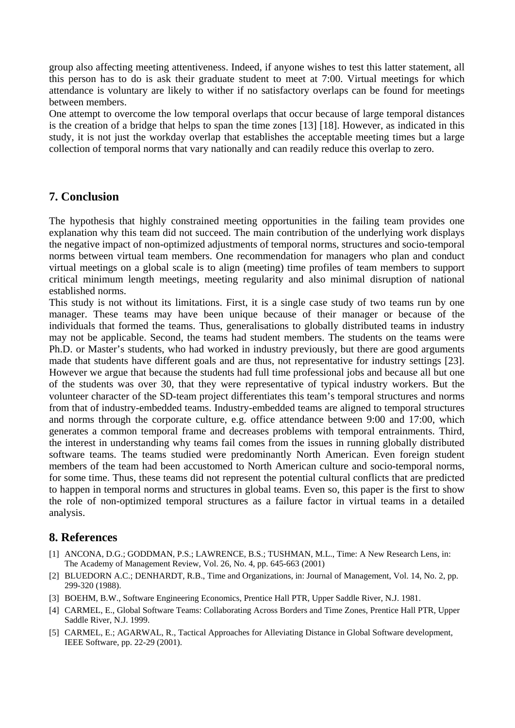group also affecting meeting attentiveness. Indeed, if anyone wishes to test this latter statement, all this person has to do is ask their graduate student to meet at 7:00. Virtual meetings for which attendance is voluntary are likely to wither if no satisfactory overlaps can be found for meetings between members.

One attempt to overcome the low temporal overlaps that occur because of large temporal distances is the creation of a bridge that helps to span the time zones [13] [18]. However, as indicated in this study, it is not just the workday overlap that establishes the acceptable meeting times but a large collection of temporal norms that vary nationally and can readily reduce this overlap to zero.

### **7. Conclusion**

The hypothesis that highly constrained meeting opportunities in the failing team provides one explanation why this team did not succeed. The main contribution of the underlying work displays the negative impact of non-optimized adjustments of temporal norms, structures and socio-temporal norms between virtual team members. One recommendation for managers who plan and conduct virtual meetings on a global scale is to align (meeting) time profiles of team members to support critical minimum length meetings, meeting regularity and also minimal disruption of national established norms.

This study is not without its limitations. First, it is a single case study of two teams run by one manager. These teams may have been unique because of their manager or because of the individuals that formed the teams. Thus, generalisations to globally distributed teams in industry may not be applicable. Second, the teams had student members. The students on the teams were Ph.D. or Master's students, who had worked in industry previously, but there are good arguments made that students have different goals and are thus, not representative for industry settings [23]. However we argue that because the students had full time professional jobs and because all but one of the students was over 30, that they were representative of typical industry workers. But the volunteer character of the SD-team project differentiates this team's temporal structures and norms from that of industry-embedded teams. Industry-embedded teams are aligned to temporal structures and norms through the corporate culture, e.g. office attendance between 9:00 and 17:00, which generates a common temporal frame and decreases problems with temporal entrainments. Third, the interest in understanding why teams fail comes from the issues in running globally distributed software teams. The teams studied were predominantly North American. Even foreign student members of the team had been accustomed to North American culture and socio-temporal norms, for some time. Thus, these teams did not represent the potential cultural conflicts that are predicted to happen in temporal norms and structures in global teams. Even so, this paper is the first to show the role of non-optimized temporal structures as a failure factor in virtual teams in a detailed analysis.

#### **8. References**

- [1] ANCONA, D.G.; GODDMAN, P.S.; LAWRENCE, B.S.; TUSHMAN, M.L., Time: A New Research Lens, in: The Academy of Management Review, Vol. 26, No. 4, pp. 645-663 (2001)
- [2] BLUEDORN A.C.; DENHARDT, R.B., Time and Organizations, in: Journal of Management, Vol. 14, No. 2, pp. 299-320 (1988).
- [3] BOEHM, B.W., Software Engineering Economics, Prentice Hall PTR, Upper Saddle River, N.J. 1981.
- [4] CARMEL, E., Global Software Teams: Collaborating Across Borders and Time Zones, Prentice Hall PTR, Upper Saddle River, N.J. 1999.
- [5] CARMEL, E.; AGARWAL, R., Tactical Approaches for Alleviating Distance in Global Software development, IEEE Software, pp. 22-29 (2001).